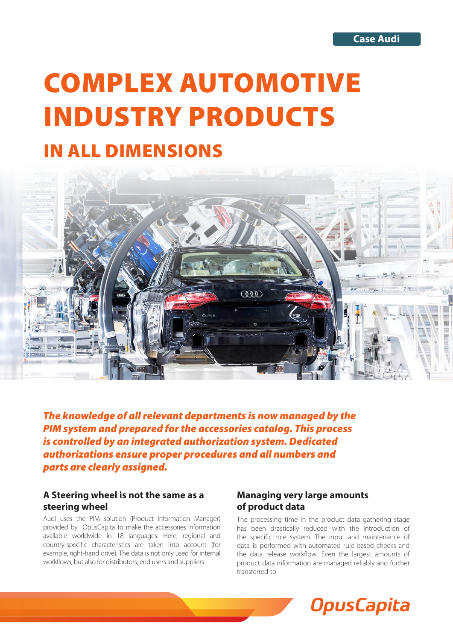# COMPLEX AUTOMOTIVE INDUSTRY PRODUCTS

# IN ALL DIMENSIONS



*The knowledge of all relevant departments is now managed by the PIM system and prepared for the accessories catalog. This process is controlled by an integrated authorization system. Dedicated authorizations ensure proper procedures and all numbers and parts are clearly assigned.* 

### **A Steering wheel is not the same as a steering wheel**

Audi uses the PIM solution (Product Information Manager) provided by OpusCapita to make the accessories information available worldwide in 18 languages. Here, regional and country-specific characteristics are taken into account (for example, right-hand drive). The data is not only used for internal workflows, but also for distributors, end users and suppliers.

## **Managing very large amounts of product data**

The processing time in the product data gathering stage has been drastically reduced with the introduction of the specific role system. The input and maintenance of data is performed with automated rule-based checks and the data release workflow. Even the largest amounts of product data information are managed reliably and further transferred to